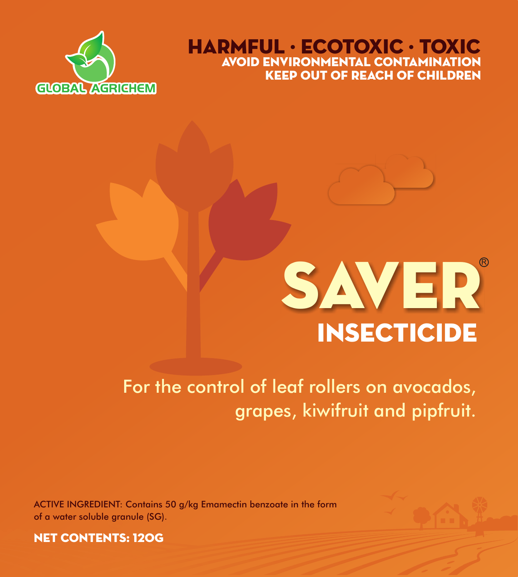

KEEP OUT OF REACH OF CHILDREN HARMFUL · ECOTOXIC · TOXIC Avoid Environmental Contamination



# For the control of leaf rollers on avocados, grapes, kiwifruit and pipfruit.

ACTIVE INGREDIENT: Contains 50 g/kg Emamectin benzoate in the form of a water soluble granule (SG).



NET CONTENTS: 120G